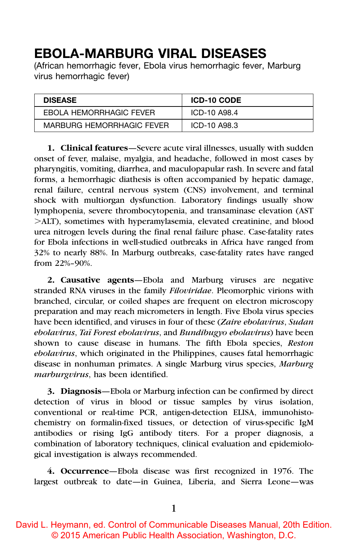# EBOLA-MARBURG VIRAL DISEASES

(African hemorrhagic fever, Ebola virus hemorrhagic fever, Marburg virus hemorrhagic fever)

| <b>DISEASE</b>                   | <b>ICD-10 CODE</b> |
|----------------------------------|--------------------|
| EBOLA HEMORRHAGIC FEVER          | ICD-10 A98.4       |
| <b>MARBURG HEMORRHAGIC FEVER</b> | ICD-10 A98.3       |

1. Clinical features-Severe acute viral illnesses, usually with sudden onset of fever, malaise, myalgia, and headache, followed in most cases by pharyngitis, vomiting, diarrhea, and maculopapular rash. In severe and fatal forms, a hemorrhagic diathesis is often accompanied by hepatic damage, renal failure, central nervous system (CNS) involvement, and terminal shock with multiorgan dysfunction. Laboratory findings usually show lymphopenia, severe thrombocytopenia, and transaminase elevation (AST .ALT), sometimes with hyperamylasemia, elevated creatinine, and blood urea nitrogen levels during the final renal failure phase. Case-fatality rates for Ebola infections in well-studied outbreaks in Africa have ranged from 32% to nearly 88%. In Marburg outbreaks, case-fatality rates have ranged from 22%–90%.

2. Causative agents—Ebola and Marburg viruses are negative stranded RNA viruses in the family Filoviridae. Pleomorphic virions with branched, circular, or coiled shapes are frequent on electron microscopy preparation and may reach micrometers in length. Five Ebola virus species have been identified, and viruses in four of these (Zaire ebolavirus, Sudan ebolavirus, Taï Forest ebolavirus, and Bundibugyo ebolavirus) have been shown to cause disease in humans. The fifth Ebola species, Reston ebolavirus, which originated in the Philippines, causes fatal hemorrhagic disease in nonhuman primates. A single Marburg virus species, Marburg marburgvirus, has been identified.

3. Diagnosis—Ebola or Marburg infection can be confirmed by direct detection of virus in blood or tissue samples by virus isolation, conventional or real-time PCR, antigen-detection ELISA, immunohistochemistry on formalin-fixed tissues, or detection of virus-specific IgM antibodies or rising IgG antibody titers. For a proper diagnosis, a combination of laboratory techniques, clinical evaluation and epidemiological investigation is always recommended.

4. Occurrence—Ebola disease was first recognized in 1976. The largest outbreak to date—in Guinea, Liberia, and Sierra Leone—was

1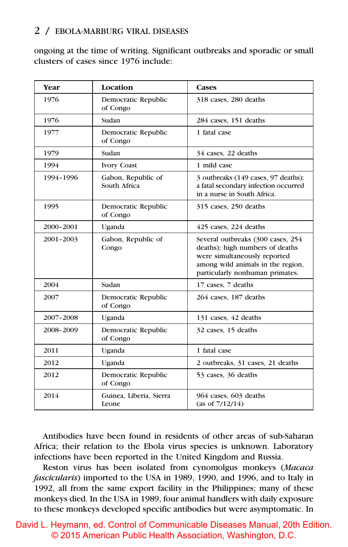#### 2 / EBOLA-MARBURG VIRAL DISEASES

ongoing at the time of writing. Significant outbreaks and sporadic or small clusters of cases since 1976 include:

| Year      | Location                           | <b>Cases</b>                                                                                                                                                                 |
|-----------|------------------------------------|------------------------------------------------------------------------------------------------------------------------------------------------------------------------------|
| 1976      | Democratic Republic<br>of Congo    | 318 cases, 280 deaths                                                                                                                                                        |
| 1976      | Sudan                              | 284 cases, 151 deaths                                                                                                                                                        |
| 1977      | Democratic Republic<br>of Congo    | 1 fatal case                                                                                                                                                                 |
| 1979      | Sudan                              | 34 cases, 22 deaths                                                                                                                                                          |
| 1994      | <b>Ivory Coast</b>                 | 1 mild case                                                                                                                                                                  |
| 1994-1996 | Gabon, Republic of<br>South Africa | 3 outbreaks (149 cases, 97 deaths);<br>a fatal secondary infection occurred<br>in a nurse in South Africa.                                                                   |
| 1995      | Democratic Republic<br>of Congo    | 315 cases, 250 deaths                                                                                                                                                        |
| 2000-2001 | Uganda                             | 425 cases, 224 deaths                                                                                                                                                        |
| 2001-2003 | Gabon, Republic of<br>Congo        | Several outbreaks (300 cases, 254<br>deaths); high numbers of deaths<br>were simultaneously reported<br>among wild animals in the region,<br>particularly nonhuman primates. |
| 2004      | Sudan                              | 17 cases, 7 deaths                                                                                                                                                           |
| 2007      | Democratic Republic<br>of Congo    | 264 cases, 187 deaths                                                                                                                                                        |
| 2007-2008 | Uganda                             | 131 cases, 42 deaths                                                                                                                                                         |
| 2008-2009 | Democratic Republic<br>of Congo    | 32 cases, 15 deaths                                                                                                                                                          |
| 2011      | Uganda                             | 1 fatal case                                                                                                                                                                 |
| 2012      | Uganda                             | 2 outbreaks, 31 cases, 21 deaths                                                                                                                                             |
| 2012      | Democratic Republic<br>of Congo    | 53 cases, 36 deaths                                                                                                                                                          |
| 2014      | Guinea, Liberia, Sierra<br>Leone   | 964 cases, 603 deaths<br>(as of $7/12/14$ )                                                                                                                                  |

Antibodies have been found in residents of other areas of sub-Saharan Africa; their relation to the Ebola virus species is unknown. Laboratory infections have been reported in the United Kingdom and Russia.

Reston virus has been isolated from cynomolgus monkeys (Macaca fascicularis) imported to the USA in 1989, 1990, and 1996, and to Italy in 1992, all from the same export facility in the Philippines; many of these monkeys died. In the USA in 1989, four animal handlers with daily exposure to these monkeys developed specific antibodies but were asymptomatic. In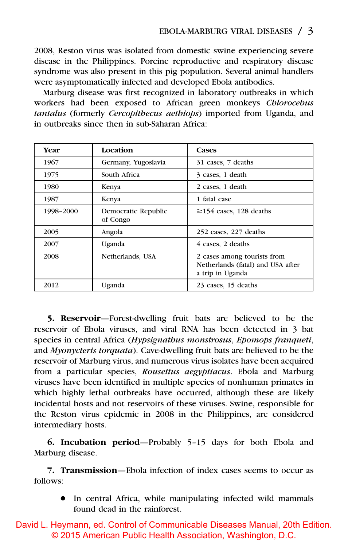2008, Reston virus was isolated from domestic swine experiencing severe disease in the Philippines. Porcine reproductive and respiratory disease syndrome was also present in this pig population. Several animal handlers were asymptomatically infected and developed Ebola antibodies.

Marburg disease was first recognized in laboratory outbreaks in which workers had been exposed to African green monkeys Chlorocebus tantalus (formerly Cercopithecus aethiops) imported from Uganda, and in outbreaks since then in sub-Saharan Africa:

| Year      | Location                        | <b>Cases</b>                                                                         |
|-----------|---------------------------------|--------------------------------------------------------------------------------------|
| 1967      | Germany, Yugoslavia             | 31 cases, 7 deaths                                                                   |
| 1975      | South Africa                    | 3 cases, 1 death                                                                     |
| 1980      | Kenya                           | 2 cases, 1 death                                                                     |
| 1987      | Kenya                           | 1 fatal case                                                                         |
| 1998-2000 | Democratic Republic<br>of Congo | $\geq$ 154 cases, 128 deaths                                                         |
| 2005      | Angola                          | 252 cases, 227 deaths                                                                |
| 2007      | Uganda                          | 4 cases, 2 deaths                                                                    |
| 2008      | Netherlands, USA                | 2 cases among tourists from<br>Netherlands (fatal) and USA after<br>a trip in Uganda |
| 2012      | Uganda                          | 23 cases, 15 deaths                                                                  |

5. Reservoir—Forest-dwelling fruit bats are believed to be the reservoir of Ebola viruses, and viral RNA has been detected in 3 bat species in central Africa (Hypsignathus monstrosus, Epomops franqueti, and Myonycteris torquata). Cave-dwelling fruit bats are believed to be the reservoir of Marburg virus, and numerous virus isolates have been acquired from a particular species, Rousettus aegyptiacus. Ebola and Marburg viruses have been identified in multiple species of nonhuman primates in which highly lethal outbreaks have occurred, although these are likely incidental hosts and not reservoirs of these viruses. Swine, responsible for the Reston virus epidemic in 2008 in the Philippines, are considered intermediary hosts.

6. Incubation period—Probably 5–15 days for both Ebola and Marburg disease.

7. Transmission—Ebola infection of index cases seems to occur as follows:

• In central Africa, while manipulating infected wild mammals found dead in the rainforest.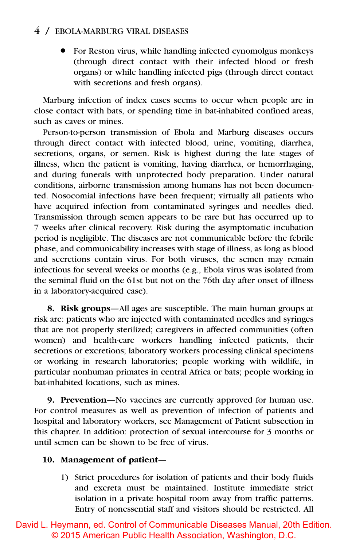#### 4 / EBOLA-MARBURG VIRAL DISEASES

• For Reston virus, while handling infected cynomolgus monkeys (through direct contact with their infected blood or fresh organs) or while handling infected pigs (through direct contact with secretions and fresh organs).

Marburg infection of index cases seems to occur when people are in close contact with bats, or spending time in bat-inhabited confined areas, such as caves or mines.

Person-to-person transmission of Ebola and Marburg diseases occurs through direct contact with infected blood, urine, vomiting, diarrhea, secretions, organs, or semen. Risk is highest during the late stages of illness, when the patient is vomiting, having diarrhea, or hemorrhaging, and during funerals with unprotected body preparation. Under natural conditions, airborne transmission among humans has not been documented. Nosocomial infections have been frequent; virtually all patients who have acquired infection from contaminated syringes and needles died. Transmission through semen appears to be rare but has occurred up to 7 weeks after clinical recovery. Risk during the asymptomatic incubation period is negligible. The diseases are not communicable before the febrile phase, and communicability increases with stage of illness, as long as blood and secretions contain virus. For both viruses, the semen may remain infectious for several weeks or months (e.g., Ebola virus was isolated from the seminal fluid on the 61st but not on the 76th day after onset of illness in a laboratory-acquired case).

8. Risk groups—All ages are susceptible. The main human groups at risk are: patients who are injected with contaminated needles and syringes that are not properly sterilized; caregivers in affected communities (often women) and health-care workers handling infected patients, their secretions or excretions; laboratory workers processing clinical specimens or working in research laboratories; people working with wildlife, in particular nonhuman primates in central Africa or bats; people working in bat-inhabited locations, such as mines.

9. Prevention—No vaccines are currently approved for human use. For control measures as well as prevention of infection of patients and hospital and laboratory workers, see Management of Patient subsection in this chapter. In addition: protection of sexual intercourse for 3 months or until semen can be shown to be free of virus.

#### 10. Management of patient—

1) Strict procedures for isolation of patients and their body fluids and excreta must be maintained. Institute immediate strict isolation in a private hospital room away from traffic patterns. Entry of nonessential staff and visitors should be restricted. All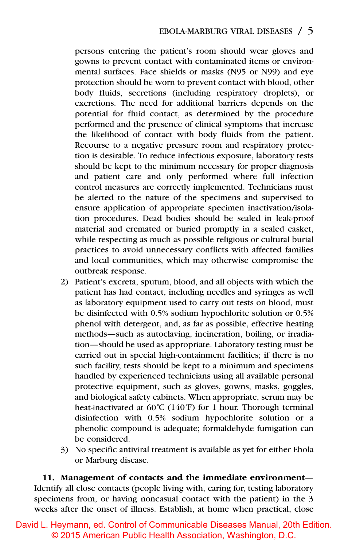persons entering the patient's room should wear gloves and gowns to prevent contact with contaminated items or environmental surfaces. Face shields or masks (N95 or N99) and eye protection should be worn to prevent contact with blood, other body fluids, secretions (including respiratory droplets), or excretions. The need for additional barriers depends on the potential for fluid contact, as determined by the procedure performed and the presence of clinical symptoms that increase the likelihood of contact with body fluids from the patient. Recourse to a negative pressure room and respiratory protection is desirable. To reduce infectious exposure, laboratory tests should be kept to the minimum necessary for proper diagnosis and patient care and only performed where full infection control measures are correctly implemented. Technicians must be alerted to the nature of the specimens and supervised to ensure application of appropriate specimen inactivation/isolation procedures. Dead bodies should be sealed in leak-proof material and cremated or buried promptly in a sealed casket, while respecting as much as possible religious or cultural burial practices to avoid unnecessary conflicts with affected families and local communities, which may otherwise compromise the outbreak response.

- 2) Patient's excreta, sputum, blood, and all objects with which the patient has had contact, including needles and syringes as well as laboratory equipment used to carry out tests on blood, must be disinfected with 0.5% sodium hypochlorite solution or 0.5% phenol with detergent, and, as far as possible, effective heating methods—such as autoclaving, incineration, boiling, or irradiation—should be used as appropriate. Laboratory testing must be carried out in special high-containment facilities; if there is no such facility, tests should be kept to a minimum and specimens handled by experienced technicians using all available personal protective equipment, such as gloves, gowns, masks, goggles, and biological safety cabinets. When appropriate, serum may be heat-inactivated at 60˚C (140˚F) for 1 hour. Thorough terminal disinfection with 0.5% sodium hypochlorite solution or a phenolic compound is adequate; formaldehyde fumigation can be considered.
- 3) No specific antiviral treatment is available as yet for either Ebola or Marburg disease.

11. Management of contacts and the immediate environment— Identify all close contacts (people living with, caring for, testing laboratory specimens from, or having noncasual contact with the patient) in the 3 weeks after the onset of illness. Establish, at home when practical, close